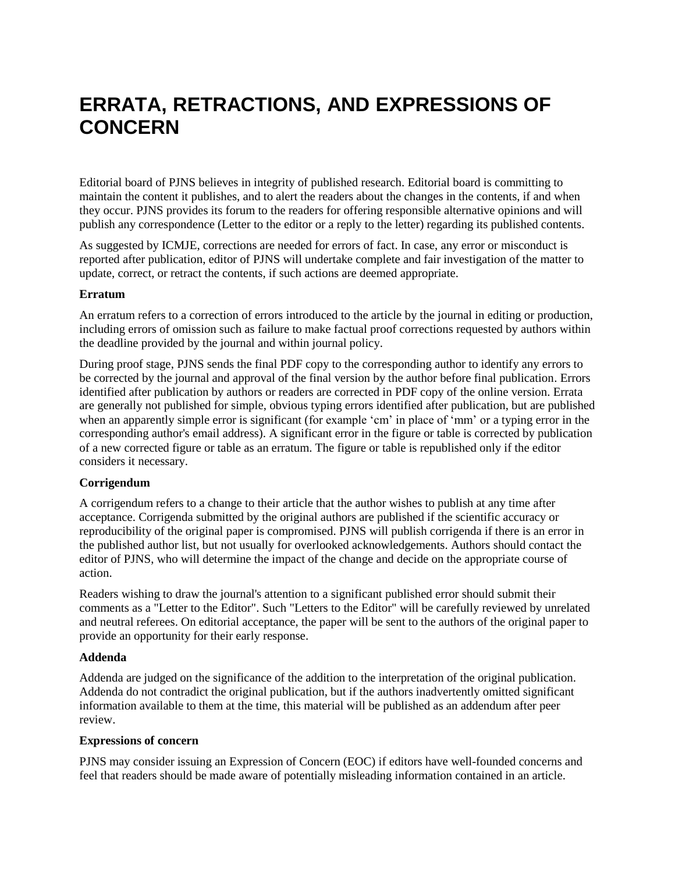# **ERRATA, RETRACTIONS, AND EXPRESSIONS OF CONCERN**

Editorial board of PJNS believes in integrity of published research. Editorial board is committing to maintain the content it publishes, and to alert the readers about the changes in the contents, if and when they occur. PJNS provides its forum to the readers for offering responsible alternative opinions and will publish any correspondence (Letter to the editor or a reply to the letter) regarding its published contents.

As suggested by ICMJE, corrections are needed for errors of fact. In case, any error or misconduct is reported after publication, editor of PJNS will undertake complete and fair investigation of the matter to update, correct, or retract the contents, if such actions are deemed appropriate.

### **Erratum**

An erratum refers to a correction of errors introduced to the article by the journal in editing or production, including errors of omission such as failure to make factual proof corrections requested by authors within the deadline provided by the journal and within journal policy.

During proof stage, PJNS sends the final PDF copy to the corresponding author to identify any errors to be corrected by the journal and approval of the final version by the author before final publication. Errors identified after publication by authors or readers are corrected in PDF copy of the online version. Errata are generally not published for simple, obvious typing errors identified after publication, but are published when an apparently simple error is significant (for example 'cm' in place of 'mm' or a typing error in the corresponding author's email address). A significant error in the figure or table is corrected by publication of a new corrected figure or table as an erratum. The figure or table is republished only if the editor considers it necessary.

#### **Corrigendum**

A corrigendum refers to a change to their article that the author wishes to publish at any time after acceptance. Corrigenda submitted by the original authors are published if the scientific accuracy or reproducibility of the original paper is compromised. PJNS will publish corrigenda if there is an error in the published author list, but not usually for overlooked acknowledgements. Authors should contact the editor of PJNS, who will determine the impact of the change and decide on the appropriate course of action.

Readers wishing to draw the journal's attention to a significant published error should submit their comments as a "Letter to the Editor". Such "Letters to the Editor" will be carefully reviewed by unrelated and neutral referees. On editorial acceptance, the paper will be sent to the authors of the original paper to provide an opportunity for their early response.

#### **Addenda**

Addenda are judged on the significance of the addition to the interpretation of the original publication. Addenda do not contradict the original publication, but if the authors inadvertently omitted significant information available to them at the time, this material will be published as an addendum after peer review.

#### **Expressions of concern**

PJNS may consider issuing an Expression of Concern (EOC) if editors have well-founded concerns and feel that readers should be made aware of potentially misleading information contained in an article.